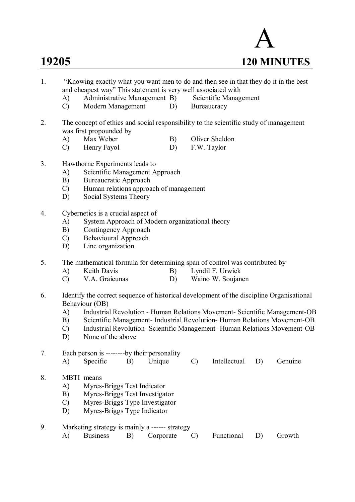

- 1. "Knowing exactly what you want men to do and then see in that they do it in the best and cheapest way" This statement is very well associated with<br>
A) Administrative Management B) Scientific Management
	- A) Administrative Management B)
	- C) Modern Management D) Bureaucracy
- 2. The concept of ethics and social responsibility to the scientific study of management was first propounded by
	- A) Max Weber B) Oliver Sheldon
	- C) Henry Fayol D) F.W. Taylor
- 3. Hawthorne Experiments leads to
	- A) Scientific Management Approach
	- B) Bureaucratic Approach
	- C) Human relations approach of management
	- D) Social Systems Theory
- 4. Cybernetics is a crucial aspect of
	- A) System Approach of Modern organizational theory
	- B) Contingency Approach
	- C) Behavioural Approach
	- D) Line organization
- 5. The mathematical formula for determining span of control was contributed by
	- A) Keith Davis B) Lyndil F. Urwick
	- C) V.A. Graicunas D) Waino W. Soujanen
- 6. Identify the correct sequence of historical development of the discipline Organisational Behaviour (OB)
	- A) Industrial Revolution Human Relations Movement- Scientific Management-OB
	- B) Scientific Management- Industrial Revolution- Human Relations Movement-OB
	- C) Industrial Revolution- Scientific Management- Human Relations Movement-OB
	- D) None of the above

|  | Each person is ---------by their personality |  |  |                                                  |  |
|--|----------------------------------------------|--|--|--------------------------------------------------|--|
|  |                                              |  |  | A) Specific B) Unique C) Intellectual D) Genuine |  |
|  |                                              |  |  |                                                  |  |

- 8. MBTI means
	- A) Myres-Briggs Test Indicator
	- B) Myres-Briggs Test Investigator
	- C) Myres-Briggs Type Investigator
	- D) Myres-Briggs Type Indicator
- 9. Marketing strategy is mainly a ------ strategy A) Business B) Corporate C) Functional D) Growth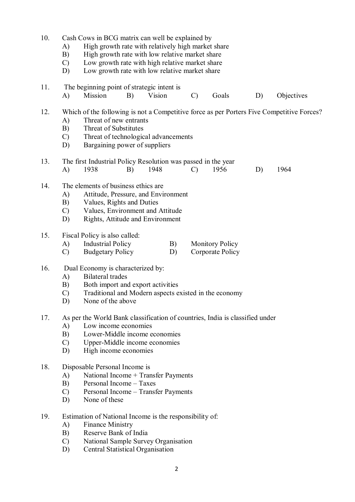10. Cash Cows in BCG matrix can well be explained by A) High growth rate with relatively high market share B) High growth rate with low relative market share C) Low growth rate with high relative market share D) Low growth rate with low relative market share 11. The beginning point of strategic intent is A) Mission B) Vision C) Goals D) Objectives 12. Which of the following is not a Competitive force as per Porters Five Competitive Forces? A) Threat of new entrants B) Threat of Substitutes C) Threat of technological advancements D) Bargaining power of suppliers 13. The first Industrial Policy Resolution was passed in the year A) 1938 B) 1948 C) 1956 D) 1964 14. The elements of business ethics are A) Attitude, Pressure, and Environment B) Values, Rights and Duties C) Values, Environment and Attitude D) Rights, Attitude and Environment 15. Fiscal Policy is also called: A) Industrial Policy B) Monitory Policy<br>
C) Budgetary Policy D) Corporate Policy C) Budgetary Policy D) 16. Dual Economy is characterized by: A) Bilateral trades B) Both import and export activities C) Traditional and Modern aspects existed in the economy D) None of the above 17. As per the World Bank classification of countries, India is classified under A) Low income economies B) Lower-Middle income economies C) Upper-Middle income economies High income economies 18. Disposable Personal Income is A) National Income + Transfer Payments B) Personal Income – Taxes C) Personal Income – Transfer Payments D) None of these 19. Estimation of National Income is the responsibility of:

- A) Finance Ministry
- B) Reserve Bank of India
- C) National Sample Survey Organisation
- D) Central Statistical Organisation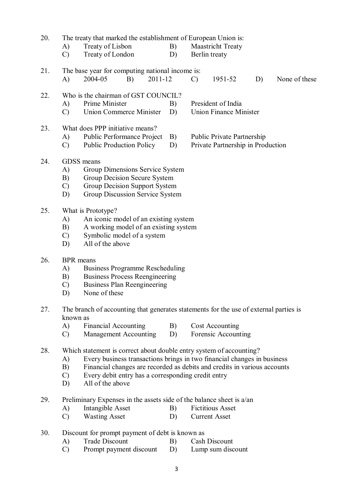- 20. The treaty that marked the establishment of European Union is:
	- A) Treaty of Lisbon B) Maastricht Treaty
	- C) Treaty of London D) Berlin treaty

21. The base year for computing national income is: A) 2004-05 B) 2011-12 C) 1951-52 D) None of these

- 22. Who is the chairman of GST COUNCIL?
	- A) Prime Minister B) President of India
	- C) Union Commerce Minister D) Union Finance Minister
- 23. What does PPP initiative means?
	- A) Public Performance Project B) Public Private Partnership
	- C) Public Production Policy D) Private Partnership in Production
- 

- 24 GDSS means
	- A) Group Dimensions Service System
	- B) Group Decision Secure System
	- C) Group Decision Support System
	- D) Group Discussion Service System
- 25. What is Prototype?
	- A) An iconic model of an existing system
	- B) A working model of an existing system
	- C) Symbolic model of a system
	- D) All of the above
- 26. BPR means
	- A) Business Programme Rescheduling
	- B) Business Process Reengineering
	- C) Business Plan Reengineering
	- D) None of these
- 27. The branch of accounting that generates statements for the use of external parties is known as
	- A) Financial Accounting B) Cost Accounting
	- C) Management Accounting D) Forensic Accounting
- 28. Which statement is correct about double entry system of accounting?
	- A) Every business transactions brings in two financial changes in business
	- B) Financial changes are recorded as debits and credits in various accounts C) Every debit entry has a corresponding credit entry
	- Every debit entry has a corresponding credit entry
	- D) All of the above
- 29. Preliminary Expenses in the assets side of the balance sheet is a/an
	- A) Intangible Asset B) Fictitious Asset
	- C) Wasting Asset D) Current Asset
- 30. Discount for prompt payment of debt is known as
	- A) Trade Discount B) Cash Discount
	- C) Prompt payment discount D) Lump sum discount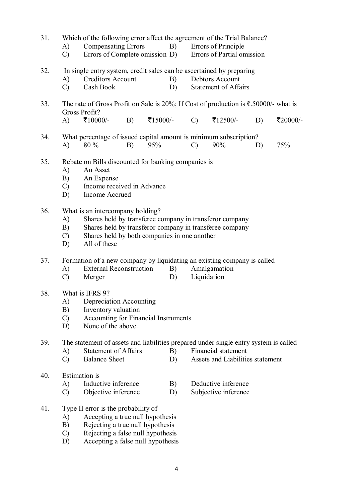| 31. | Which of the following error affect the agreement of the Trial Balance?                                   |                                                                                                                      |    |          |    |               |                                  |    |          |  |  |  |
|-----|-----------------------------------------------------------------------------------------------------------|----------------------------------------------------------------------------------------------------------------------|----|----------|----|---------------|----------------------------------|----|----------|--|--|--|
|     | A)                                                                                                        | <b>Compensating Errors</b>                                                                                           |    |          | B) |               | Errors of Principle              |    |          |  |  |  |
|     | $\mathcal{C}$                                                                                             | Errors of Complete omission D)<br>Errors of Partial omission                                                         |    |          |    |               |                                  |    |          |  |  |  |
| 32. | In single entry system, credit sales can be ascertained by preparing                                      |                                                                                                                      |    |          |    |               |                                  |    |          |  |  |  |
|     | A)                                                                                                        | <b>Creditors Account</b>                                                                                             |    |          | B) |               | Debtors Account                  |    |          |  |  |  |
|     | $\mathcal{C}$                                                                                             | Cash Book                                                                                                            |    |          | D) |               | <b>Statement of Affairs</b>      |    |          |  |  |  |
| 33. |                                                                                                           | The rate of Gross Profit on Sale is 20%; If Cost of production is $\overline{\xi}$ .50000/- what is<br>Gross Profit? |    |          |    |               |                                  |    |          |  |  |  |
|     | A)                                                                                                        | ₹10000/-                                                                                                             | B) | ₹15000/- |    | $\mathcal{C}$ | ₹12500/-                         | D) | ₹20000/- |  |  |  |
| 34. | What percentage of issued capital amount is minimum subscription?                                         |                                                                                                                      |    |          |    |               |                                  |    |          |  |  |  |
|     | A)                                                                                                        | 80 %                                                                                                                 | B) | 95%      |    | $\mathcal{C}$ | 90%                              | D) | 75%      |  |  |  |
| 35. |                                                                                                           | Rebate on Bills discounted for banking companies is                                                                  |    |          |    |               |                                  |    |          |  |  |  |
|     | A)                                                                                                        | An Asset                                                                                                             |    |          |    |               |                                  |    |          |  |  |  |
|     | B)                                                                                                        | An Expense                                                                                                           |    |          |    |               |                                  |    |          |  |  |  |
|     | Income received in Advance<br>$\mathcal{C}$                                                               |                                                                                                                      |    |          |    |               |                                  |    |          |  |  |  |
|     | D)<br>Income Accrued                                                                                      |                                                                                                                      |    |          |    |               |                                  |    |          |  |  |  |
| 36. | What is an intercompany holding?                                                                          |                                                                                                                      |    |          |    |               |                                  |    |          |  |  |  |
|     | Shares held by transferee company in transferor company<br>A)                                             |                                                                                                                      |    |          |    |               |                                  |    |          |  |  |  |
|     | Shares held by transferor company in transferee company<br>B)                                             |                                                                                                                      |    |          |    |               |                                  |    |          |  |  |  |
|     | Shares held by both companies in one another<br>$\mathcal{C}$                                             |                                                                                                                      |    |          |    |               |                                  |    |          |  |  |  |
|     | D)                                                                                                        | All of these                                                                                                         |    |          |    |               |                                  |    |          |  |  |  |
| 37. | Formation of a new company by liquidating an existing company is called<br><b>External Reconstruction</b> |                                                                                                                      |    |          |    |               |                                  |    |          |  |  |  |
|     | A)                                                                                                        |                                                                                                                      |    |          | B) |               | Amalgamation                     |    |          |  |  |  |
|     | $\mathcal{C}$                                                                                             | Merger                                                                                                               |    |          | D) |               | Liquidation                      |    |          |  |  |  |
| 38. | What is IFRS 9?                                                                                           |                                                                                                                      |    |          |    |               |                                  |    |          |  |  |  |
|     | A) Depreciation Accounting                                                                                |                                                                                                                      |    |          |    |               |                                  |    |          |  |  |  |
|     | B)<br>Inventory valuation                                                                                 |                                                                                                                      |    |          |    |               |                                  |    |          |  |  |  |
|     | Accounting for Financial Instruments<br>$\mathcal{C}$                                                     |                                                                                                                      |    |          |    |               |                                  |    |          |  |  |  |
|     | None of the above.<br>D)                                                                                  |                                                                                                                      |    |          |    |               |                                  |    |          |  |  |  |
| 39. | The statement of assets and liabilities prepared under single entry system is called                      |                                                                                                                      |    |          |    |               |                                  |    |          |  |  |  |
|     | A)                                                                                                        | <b>Statement of Affairs</b>                                                                                          |    |          | B) |               | Financial statement              |    |          |  |  |  |
|     | $\mathcal{C}$                                                                                             | <b>Balance Sheet</b>                                                                                                 |    |          | D) |               | Assets and Liabilities statement |    |          |  |  |  |
| 40. |                                                                                                           | <b>Estimation</b> is                                                                                                 |    |          |    |               |                                  |    |          |  |  |  |
|     | A)                                                                                                        | Inductive inference                                                                                                  |    |          | B) |               | Deductive inference              |    |          |  |  |  |
|     | $\mathcal{C}$                                                                                             | Objective inference                                                                                                  |    |          | D) |               | Subjective inference             |    |          |  |  |  |
| 41. |                                                                                                           | Type II error is the probability of                                                                                  |    |          |    |               |                                  |    |          |  |  |  |
|     | A)                                                                                                        | Accepting a true null hypothesis                                                                                     |    |          |    |               |                                  |    |          |  |  |  |
|     | B)                                                                                                        | Rejecting a true null hypothesis                                                                                     |    |          |    |               |                                  |    |          |  |  |  |
|     | $\mathcal{C}$                                                                                             | Rejecting a false null hypothesis                                                                                    |    |          |    |               |                                  |    |          |  |  |  |
|     | $\mathbf{D}$                                                                                              |                                                                                                                      |    |          |    |               |                                  |    |          |  |  |  |

D) Accepting a false null hypothesis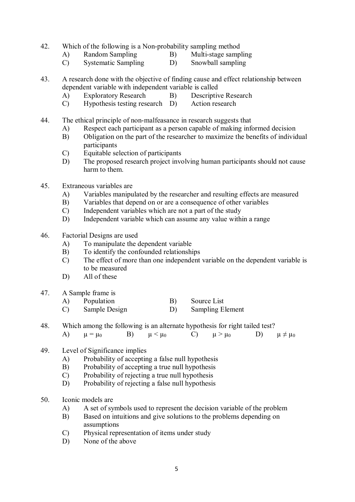- 42. Which of the following is a Non-probability sampling method
	- A) Random Sampling B) Multi-stage sampling
- - C) Systematic Sampling D) Snowball sampling
- 43. A research done with the objective of finding cause and effect relationship between dependent variable with independent variable is called
	- A) Exploratory Research B) Descriptive Research
	- C) Hypothesis testing research D) Action research
- 44. The ethical principle of non-malfeasance in research suggests that
	- A) Respect each participant as a person capable of making informed decision
	- B) Obligation on the part of the researcher to maximize the benefits of individual participants
	- C) Equitable selection of participants
	- D) The proposed research project involving human participants should not cause harm to them.
- 45. Extraneous variables are
	- A) Variables manipulated by the researcher and resulting effects are measured
	- B) Variables that depend on or are a consequence of other variables
	- C) Independent variables which are not a part of the study
	- D) Independent variable which can assume any value within a range
- 46. Factorial Designs are used
	- A) To manipulate the dependent variable
	- B) To identify the confounded relationships
	- C) The effect of more than one independent variable on the dependent variable is to be measured
	- D) All of these
- 47. A Sample frame is
	- A) Population B) Source List
	- C) Sample Design D) Sampling Element
- 48. Which among the following is an alternate hypothesis for right tailed test?
	- A)  $\mu = \mu_0$  B)  $\mu < \mu_0$  C)  $\mu > \mu_0$  D)  $\mu \neq \mu_0$
- 49. Level of Significance implies
	- A) Probability of accepting a false null hypothesis
	- B) Probability of accepting a true null hypothesis
	- C) Probability of rejecting a true null hypothesis
	- D) Probability of rejecting a false null hypothesis
- 50. Iconic models are
	- A) A set of symbols used to represent the decision variable of the problem
	- B) Based on intuitions and give solutions to the problems depending on assumptions
	- C) Physical representation of items under study
	- D) None of the above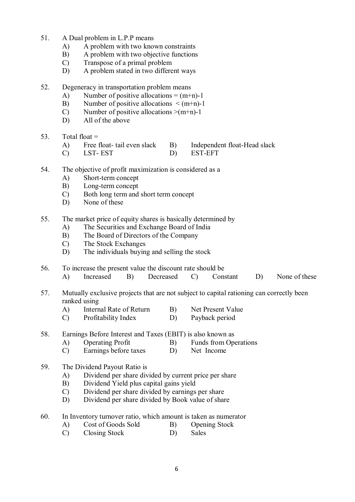- 51. A Dual problem in L.P.P means
	- A) A problem with two known constraints
	- B) A problem with two objective functions
	- C) Transpose of a primal problem
	- D) A problem stated in two different ways
- 52. Degeneracy in transportation problem means
	- A) Number of positive allocations =  $(m+n)-1$
	- B) Number of positive allocations  $\leq (m+n)-1$
	- C) Number of positive allocations  $>(m+n)-1$
	- D) All of the above
- 53. Total float  $=$ 
	- A) Free float- tail even slack B) Independent float-Head slack
	- C) LST-EST D) EST-EFT
- 54. The objective of profit maximization is considered as a
	- A) Short-term concept
	- B) Long-term concept
	- C) Both long term and short term concept
	- D) None of these
- 55. The market price of equity shares is basically determined by
	- A) The Securities and Exchange Board of India
	- B) The Board of Directors of the Company
	- C) The Stock Exchanges
	- D) The individuals buying and selling the stock
- 56. To increase the present value the discount rate should be
	- A) Increased B) Decreased C) Constant D) None of these
- 57. Mutually exclusive projects that are not subject to capital rationing can correctly been ranked using
	- A) Internal Rate of Return B) Net Present Value
	- C) Profitability Index D) Payback period
- 58. Earnings Before Interest and Taxes (EBIT) is also known as
	- A) Operating Profit B) Funds from Operations<br>
	C) Earnings before taxes D) Net Income
		- Earnings before taxes

#### 59. The Dividend Payout Ratio is

- A) Dividend per share divided by current price per share
- B) Dividend Yield plus capital gains yield
- C) Dividend per share divided by earnings per share
- D) Dividend per share divided by Book value of share
- 60. In Inventory turnover ratio, which amount is taken as numerator
	- A) Cost of Goods Sold B) Opening Stock
	- C) Closing Stock D) Sales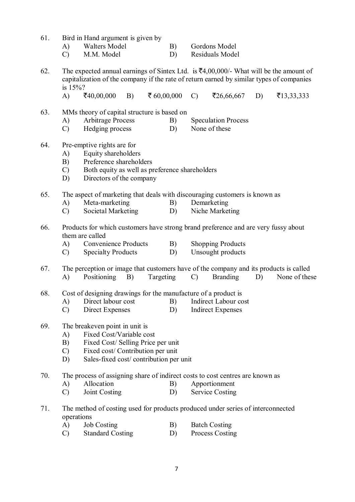| 61. |  | Bird in Hand argument is given by |  |  |
|-----|--|-----------------------------------|--|--|
|     |  |                                   |  |  |

- A) Walters Model B) Gordons Model
- C) M.M. Model D) Residuals Model
- 62. The expected annual earnings of Sintex Ltd. is  $\bar{\mathfrak{g}}4,00,000/4$  What will be the amount of capitalization of the company if the rate of return earned by similar types of companies is 15%?
	- A)  $\bar{z}40,00,000$  B)  $\bar{z}60,00,000$  C)  $\bar{z}26,66,667$  D)  $\bar{z}13,33,333$
- 63. MMs theory of capital structure is based on
	-
	- A) Arbitrage Process B) Speculation Process<br>
	C) Hedging process D) None of these  $C$ ) Hedging process  $D$ )
- 64. Pre-emptive rights are for
	- A) Equity shareholders
	- B) Preference shareholders
	- C) Both equity as well as preference shareholders
	- D) Directors of the company
- 65. The aspect of marketing that deals with discouraging customers is known as
	- A) Meta-marketing B) Demarketing
	- C) Societal Marketing D) Niche Marketing
- 66. Products for which customers have strong brand preference and are very fussy about them are called
	- A) Convenience Products B) Shopping Products
	- C) Specialty Products D) Unsought products
- 67. The perception or image that customers have of the company and its products is called A) Positioning B) Targeting C) Branding D) None of these
- 68. Cost of designing drawings for the manufacture of a product is
	- A) Direct labour cost B) Indirect Labour cost
	- C) Direct Expenses D) Indirect Expenses
- 69. The breakeven point in unit is
	- A) Fixed Cost/Variable cost
	- B) Fixed Cost/ Selling Price per unit
	- C) Fixed cost/ Contribution per unit
	- D) Sales-fixed cost/ contribution per unit
- 70. The process of assigning share of indirect costs to cost centres are known as
	- A) Allocation B) Apportionment
	- C) Joint Costing D) Service Costing
- 71. The method of costing used for products produced under series of interconnected operations
	- A) Job Costing B) Batch Costing
	- C) Standard Costing D) Process Costing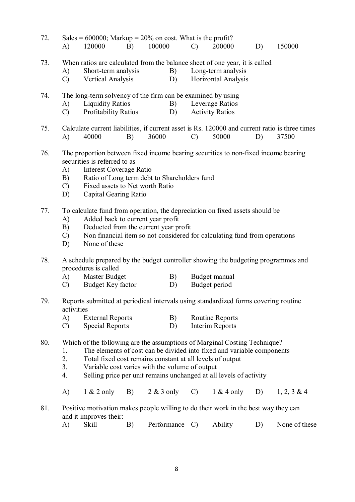- 72. Sales =  $600000$ ; Markup =  $20\%$  on cost. What is the profit? A) 120000 B) 100000 C) 200000 D) 150000
- 73. When ratios are calculated from the balance sheet of one year, it is called
	- A) Short-term analysis B) Long-term analysis
	- C) Vertical Analysis D) Horizontal Analysis
- 74. The long-term solvency of the firm can be examined by using
	- A) Liquidity Ratios B) Leverage Ratios<br>
	C) Profitability Ratios D) Activity Ratios
	- C) Profitability Ratios D)
- 75. Calculate current liabilities, if current asset is Rs. 120000 and current ratio is three times A) 40000 B) 36000 C) 50000 D) 37500
- 76. The proportion between fixed income bearing securities to non-fixed income bearing securities is referred to as
	- A) Interest Coverage Ratio
	- B) Ratio of Long term debt to Shareholders fund
	- C) Fixed assets to Net worth Ratio
	- D) Capital Gearing Ratio
- 77. To calculate fund from operation, the depreciation on fixed assets should be
	- A) Added back to current year profit
	- B) Deducted from the current year profit
	- C) Non financial item so not considered for calculating fund from operations
	- D) None of these
- 78. A schedule prepared by the budget controller showing the budgeting programmes and procedures is called
	- A) Master Budget B B) Budget manual
	- C) Budget Key factor D) Budget period
- 79. Reports submitted at periodical intervals using standardized forms covering routine activities
	- A) External Reports B) Routine Reports
	- C) Special Reports D) Interim Reports
- 80. Which of the following are the assumptions of Marginal Costing Technique?
	- 1. The elements of cost can be divided into fixed and variable components
	- 2. Total fixed cost remains constant at all levels of output
	- 3. Variable cost varies with the volume of output
	- 4. Selling price per unit remains unchanged at all levels of activity
	- A) 1 & 2 only B) 2 & 3 only C) 1 & 4 only D) 1, 2, 3 & 4
- 81. Positive motivation makes people willing to do their work in the best way they can and it improves their:

| A) | <b>Skill</b> |  | Performance C) |  | Ability |  | None of these |
|----|--------------|--|----------------|--|---------|--|---------------|
|----|--------------|--|----------------|--|---------|--|---------------|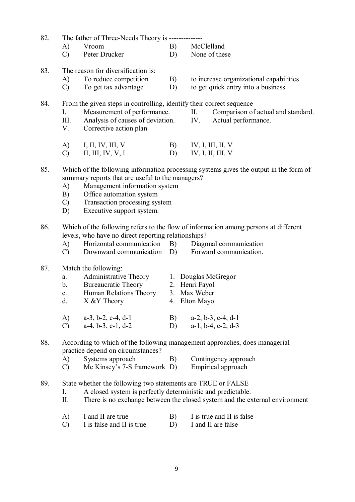82. The father of Three-Needs Theory is --------------

- A) Vroom B) McClelland
- C) Peter Drucker D) None of these

#### 83. The reason for diversification is:

- 
- C) To get tax advantage D) to get quick entry into a business

A) To reduce competition B) to increase organizational capabilities

- 
- 84. From the given steps in controlling, identify their correct sequence
	- I. Measurement of performance. II. Comparison of actual and standard.
	- III. Analysis of causes of deviation. IV. Actual performance.
	- V. Corrective action plan
- 
- A) I, II, IV, III, V B) IV, I, III, II, V
- C) II, III, IV, V, I D) IV, I, II, III, V
- 85. Which of the following information processing systems gives the output in the form of summary reports that are useful to the managers?
	- A) Management information system
	- B) Office automation system
	- C) Transaction processing system
	- D) Executive support system.

#### 86. Which of the following refers to the flow of information among persons at different levels, who have no direct reporting relationships?

- 
- A) Horizontal communication B) Diagonal communication C) Downward communication D) Forward communication.  $(C)$  Downward communication  $(D)$ 
	-
	-

## 87. Match the following:

| a.             | Administrative Theory      | 1. Douglas McGregor |
|----------------|----------------------------|---------------------|
| b.             | <b>Bureaucratic Theory</b> | 2. Henri Fayol      |
| $\mathbf{c}$ . | Human Relations Theory     | 3. Max Weber        |
|                |                            |                     |

- d.  $X & Y$  Theory 4. Elton Mayo
- A) a-3, b-2, c-4, d-1 B) a-2, b-3, c-4, d-1
- C) a-4, b-3, c-1, d-2 D) a-1, b-4, c-2, d-3

### 88. According to which of the following management approaches, does managerial practice depend on circumstances?

- A) Systems approach B) Contingency approach
- C) Mc Kinsey's 7-S framework D) Empirical approach

# 89. State whether the following two statements are TRUE or FALSE

- I. A closed system is perfectly deterministic and predictable.
- II. There is no exchange between the closed system and the external environment
- A) I and II are true B) I is true and II is false
- C) I is false and II is true D) I and II are false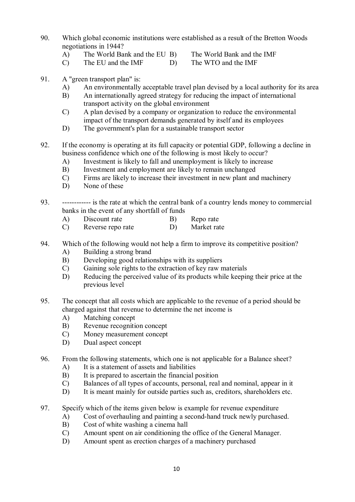- 90. Which global economic institutions were established as a result of the Bretton Woods negotiations in 1944?
	- A) The World Bank and the EU B) The World Bank and the IMF
		-
	- C) The EU and the IMF D) The WTO and the IMF
- 
- 91. A "green transport plan" is:
	- A) An environmentally acceptable travel plan devised by a local authority for its area
	- B) An internationally agreed strategy for reducing the impact of international transport activity on the global environment
	- C) A plan devised by a company or organization to reduce the environmental impact of the transport demands generated by itself and its employees
	- D) The government's plan for a sustainable transport sector
- 92. If the economy is operating at its full capacity or potential GDP, following a decline in business confidence which one of the following is most likely to occur?
	- A) Investment is likely to fall and unemployment is likely to increase
	- B) Investment and employment are likely to remain unchanged
	- C) Firms are likely to increase their investment in new plant and machinery
	- D) None of these
- 93. ------------ is the rate at which the central bank of a country lends money to commercial banks in the event of any shortfall of funds
	- A) Discount rate B) Repo rate
	- C) Reverse repo rate D) Market rate
- 94. Which of the following would not help a firm to improve its competitive position?
	- A) Building a strong brand
	- B) Developing good relationships with its suppliers
	- C) Gaining sole rights to the extraction of key raw materials
	- D) Reducing the perceived value of its products while keeping their price at the previous level
- 95. The concept that all costs which are applicable to the revenue of a period should be charged against that revenue to determine the net income is
	- A) Matching concept
	- B) Revenue recognition concept
	- C) Money measurement concept
	- D) Dual aspect concept
- 96. From the following statements, which one is not applicable for a Balance sheet?
	- A) It is a statement of assets and liabilities
	- B) It is prepared to ascertain the financial position
	- C) Balances of all types of accounts, personal, real and nominal, appear in it
	- D) It is meant mainly for outside parties such as, creditors, shareholders etc.
- 97. Specify which of the items given below is example for revenue expenditure
	- A) Cost of overhauling and painting a second-hand truck newly purchased.
	- B) Cost of white washing a cinema hall
	- C) Amount spent on air conditioning the office of the General Manager.
	- D) Amount spent as erection charges of a machinery purchased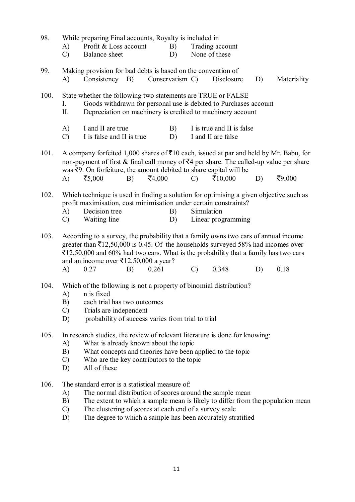| 98.  | A)<br>$\mathcal{C}$                                                                                                                                                                                                                                                               | While preparing Final accounts, Royalty is included in<br>Profit & Loss account<br>Balance sheet                                                                                                                                                                                                                                                                               |    |        | B)<br>D)        |               | Trading account<br>None of these                |    |             |
|------|-----------------------------------------------------------------------------------------------------------------------------------------------------------------------------------------------------------------------------------------------------------------------------------|--------------------------------------------------------------------------------------------------------------------------------------------------------------------------------------------------------------------------------------------------------------------------------------------------------------------------------------------------------------------------------|----|--------|-----------------|---------------|-------------------------------------------------|----|-------------|
| 99.  | A)                                                                                                                                                                                                                                                                                | Making provision for bad debts is based on the convention of<br>Consistency                                                                                                                                                                                                                                                                                                    | B) |        | Conservatism C) |               | Disclosure                                      | D) | Materiality |
| 100. | $I_{\cdot}$<br>II.                                                                                                                                                                                                                                                                | State whether the following two statements are TRUE or FALSE<br>Goods withdrawn for personal use is debited to Purchases account<br>Depreciation on machinery is credited to machinery account                                                                                                                                                                                 |    |        |                 |               |                                                 |    |             |
|      | A)<br>$\mathcal{C}$                                                                                                                                                                                                                                                               | I and II are true<br>I is false and II is true                                                                                                                                                                                                                                                                                                                                 |    |        | B)<br>D)        |               | I is true and II is false<br>I and II are false |    |             |
| 101. |                                                                                                                                                                                                                                                                                   | A company forfeited 1,000 shares of $\bar{\mathcal{F}}$ 10 each, issued at par and held by Mr. Babu, for<br>non-payment of first & final call money of $\bar{z}4$ per share. The called-up value per share<br>was $\overline{5}9$ . On forfeiture, the amount debited to share capital will be                                                                                 |    |        |                 |               |                                                 |    |             |
|      | A)                                                                                                                                                                                                                                                                                | ₹5,000                                                                                                                                                                                                                                                                                                                                                                         | B) | ₹4,000 |                 | $\mathcal{C}$ | ₹ $10,000$                                      | D) | ₹9,000      |
| 102. | A)<br>$\mathcal{C}$                                                                                                                                                                                                                                                               | Which technique is used in finding a solution for optimising a given objective such as<br>profit maximisation, cost minimisation under certain constraints?<br>Decision tree<br>Waiting line                                                                                                                                                                                   |    |        | B)<br>D)        | Simulation    | Linear programming                              |    |             |
| 103. | A)                                                                                                                                                                                                                                                                                | According to a survey, the probability that a family owns two cars of annual income<br>greater than $\bar{\mathfrak{X}}$ 12,50,000 is 0.45. Of the households surveyed 58% had incomes over<br>$\overline{\mathfrak{E}}12,50,000$ and 60% had two cars. What is the probability that a family has two cars<br>and an income over $\bar{\mathfrak{E}}12,50,000$ a year?<br>0.27 | B) | 0.261  |                 | $\mathcal{C}$ | 0.348                                           | D) | 0.18        |
| 104. | Which of the following is not a property of binomial distribution?<br>n is fixed<br>A)<br>B)<br>each trial has two outcomes<br>Trials are independent<br>$\mathcal{C}$<br>probability of success varies from trial to trial<br>D)                                                 |                                                                                                                                                                                                                                                                                                                                                                                |    |        |                 |               |                                                 |    |             |
| 105. | In research studies, the review of relevant literature is done for knowing:<br>What is already known about the topic<br>A)<br>B)<br>What concepts and theories have been applied to the topic<br>Who are the key contributors to the topic<br>$\mathcal{C}$<br>All of these<br>D) |                                                                                                                                                                                                                                                                                                                                                                                |    |        |                 |               |                                                 |    |             |
| 106. | A)<br>B)                                                                                                                                                                                                                                                                          | The standard error is a statistical measure of:<br>The normal distribution of scores around the sample mean<br>The extent to which a sample mean is likely to differ from the population mean                                                                                                                                                                                  |    |        |                 |               |                                                 |    |             |

- C) The clustering of scores at each end of a survey scale
- D) The degree to which a sample has been accurately stratified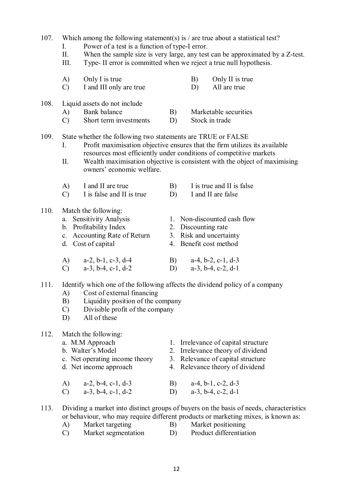| 107. | I.<br>П.<br>Ш.                  | Which among the following statement(s) is $/$ are true about a statistical test?<br>Power of a test is a function of type-I error.<br>When the sample size is very large, any test can be approximated by a Z-test.<br>Type-II error is committed when we reject a true null hypothesis. |          |                                                                                                                                                                                                                               |  |  |  |  |
|------|---------------------------------|------------------------------------------------------------------------------------------------------------------------------------------------------------------------------------------------------------------------------------------------------------------------------------------|----------|-------------------------------------------------------------------------------------------------------------------------------------------------------------------------------------------------------------------------------|--|--|--|--|
|      | A)<br>$\mathcal{C}$             | Only I is true<br>I and III only are true                                                                                                                                                                                                                                                |          | Only II is true<br>B)<br>All are true<br>D)                                                                                                                                                                                   |  |  |  |  |
| 108. | A)<br>$\mathcal{C}$             | Liquid assets do not include<br>Bank balance<br>Short term investments                                                                                                                                                                                                                   | B)<br>D) | Marketable securities<br>Stock in trade                                                                                                                                                                                       |  |  |  |  |
| 109. | I.<br>П.                        | State whether the following two statements are TRUE or FALSE<br>owners' economic welfare.                                                                                                                                                                                                |          | Profit maximisation objective ensures that the firm utilizes its available<br>resources most efficiently under conditions of competitive markets<br>Wealth maximisation objective is consistent with the object of maximising |  |  |  |  |
|      | A)<br>$\mathcal{C}$             | I and II are true<br>I is false and II is true                                                                                                                                                                                                                                           | B)<br>D) | I is true and II is false<br>I and II are false                                                                                                                                                                               |  |  |  |  |
| 110. |                                 | Match the following:<br>a. Sensitivity Analysis<br>b. Profitability Index<br>c. Accounting Rate of Return<br>d. Cost of capital                                                                                                                                                          |          | 1. Non-discounted cash flow<br>2. Discounting rate<br>3. Risk and uncertainty<br>4. Benefit cost method                                                                                                                       |  |  |  |  |
|      | A)<br>$\mathcal{C}$             | $a-2$ , $b-1$ , $c-3$ , $d-4$<br>$a-3$ , $b-4$ , $c-1$ , $d-2$                                                                                                                                                                                                                           | B)<br>D) | $a-4$ , $b-2$ , $c-1$ , $d-3$<br>$a-3$ , $b-4$ , $c-2$ , $d-1$                                                                                                                                                                |  |  |  |  |
| 111. | A)<br>B)<br>$\mathcal{C}$<br>D) | Cost of external financing<br>Liquidity position of the company<br>Divisible profit of the company<br>All of these                                                                                                                                                                       |          | Identify which one of the following affects the dividend policy of a company                                                                                                                                                  |  |  |  |  |
| 112. |                                 | Match the following:<br>a. M.M Approach<br>b. Walter's Model<br>c. Net operating income theory<br>d. Net income approach                                                                                                                                                                 |          | 1. Irrelevance of capital structure<br>2. Irrelevance theory of dividend<br>3. Relevance of capital structure<br>4. Relevance theory of dividend                                                                              |  |  |  |  |
|      | A)<br>$\mathcal{C}$             | $a-2$ , $b-4$ , $c-1$ , $d-3$<br>$a-3$ , $b-4$ , $c-1$ , $d-2$                                                                                                                                                                                                                           | B)<br>D) | $a-4$ , $b-1$ , $c-2$ , $d-3$<br>$a-3$ , $b-4$ , $c-2$ , $d-1$                                                                                                                                                                |  |  |  |  |
| 113. | A)<br>$\mathcal{C}$             | Market targeting<br>Market segmentation                                                                                                                                                                                                                                                  | B)<br>D) | Dividing a market into distinct groups of buyers on the basis of needs, characteristics<br>or behaviour, who may require different products or marketing mixes, is known as:<br>Market positioning<br>Product differentiation |  |  |  |  |